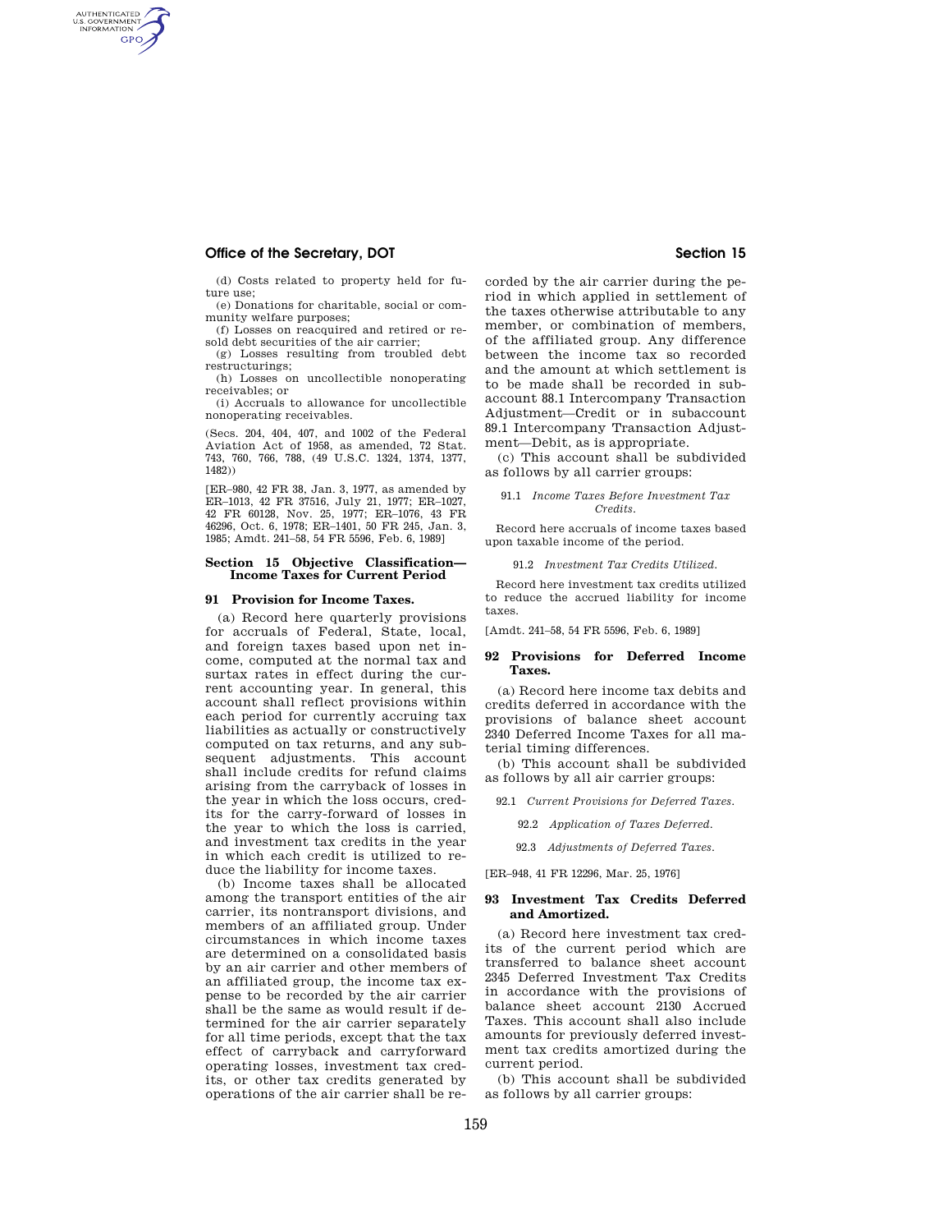# **Office of the Secretary, DOT** Section 15

AUTHENTICATED<br>U.S. GOVERNMENT<br>INFORMATION **GPO** 

> (d) Costs related to property held for future use;

(e) Donations for charitable, social or community welfare purposes;

(f) Losses on reacquired and retired or resold debt securities of the air carrier;

(g) Losses resulting from troubled debt restructurings;

(h) Losses on uncollectible nonoperating receivables; or

(i) Accruals to allowance for uncollectible nonoperating receivables.

(Secs. 204, 404, 407, and 1002 of the Federal Aviation Act of 1958, as amended, 72 Stat. 743, 760, 766, 788, (49 U.S.C. 1324, 1374, 1377, 1482))

[ER–980, 42 FR 38, Jan. 3, 1977, as amended by ER–1013, 42 FR 37516, July 21, 1977; ER–1027, 42 FR 60128, Nov. 25, 1977; ER–1076, 43 FR 46296, Oct. 6, 1978; ER–1401, 50 FR 245, Jan. 3, 1985; Amdt. 241–58, 54 FR 5596, Feb. 6, 1989]

#### **Section 15 Objective Classification— Income Taxes for Current Period**

#### **91 Provision for Income Taxes.**

(a) Record here quarterly provisions for accruals of Federal, State, local, and foreign taxes based upon net income, computed at the normal tax and surtax rates in effect during the current accounting year. In general, this account shall reflect provisions within each period for currently accruing tax liabilities as actually or constructively computed on tax returns, and any subsequent adjustments. This account shall include credits for refund claims arising from the carryback of losses in the year in which the loss occurs, credits for the carry-forward of losses in the year to which the loss is carried, and investment tax credits in the year in which each credit is utilized to reduce the liability for income taxes.

(b) Income taxes shall be allocated among the transport entities of the air carrier, its nontransport divisions, and members of an affiliated group. Under circumstances in which income taxes are determined on a consolidated basis by an air carrier and other members of an affiliated group, the income tax expense to be recorded by the air carrier shall be the same as would result if determined for the air carrier separately for all time periods, except that the tax effect of carryback and carryforward operating losses, investment tax credits, or other tax credits generated by operations of the air carrier shall be recorded by the air carrier during the period in which applied in settlement of the taxes otherwise attributable to any member, or combination of members, of the affiliated group. Any difference between the income tax so recorded and the amount at which settlement is to be made shall be recorded in subaccount 88.1 Intercompany Transaction Adjustment—Credit or in subaccount 89.1 Intercompany Transaction Adjustment—Debit, as is appropriate.

(c) This account shall be subdivided as follows by all carrier groups:

#### 91.1 *Income Taxes Before Investment Tax Credits.*

Record here accruals of income taxes based upon taxable income of the period.

#### 91.2 *Investment Tax Credits Utilized.*

Record here investment tax credits utilized to reduce the accrued liability for income taxes.

[Amdt. 241–58, 54 FR 5596, Feb. 6, 1989]

### **92 Provisions for Deferred Income Taxes.**

(a) Record here income tax debits and credits deferred in accordance with the provisions of balance sheet account 2340 Deferred Income Taxes for all material timing differences.

(b) This account shall be subdivided as follows by all air carrier groups:

- 92.1 *Current Provisions for Deferred Taxes.* 
	- 92.2 *Application of Taxes Deferred.*
	- 92.3 *Adjustments of Deferred Taxes.*

[ER–948, 41 FR 12296, Mar. 25, 1976]

# **93 Investment Tax Credits Deferred and Amortized.**

(a) Record here investment tax credits of the current period which are transferred to balance sheet account 2345 Deferred Investment Tax Credits in accordance with the provisions of balance sheet account 2130 Accrued Taxes. This account shall also include amounts for previously deferred investment tax credits amortized during the current period.

(b) This account shall be subdivided as follows by all carrier groups: